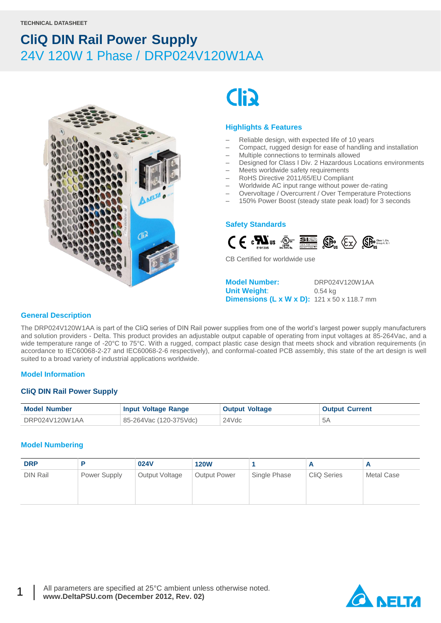

# **Cli**

#### **Highlights & Features**

- Reliable design, with expected life of 10 years
- Compact, rugged design for ease of handling and installation
- Multiple connections to terminals allowed
- Designed for Class I Div. 2 Hazardous Locations environments
- Meets worldwide safety requirements
- RoHS Directive 2011/65/EU Compliant
- Worldwide AC input range without power de-rating
- Overvoltage / Overcurrent / Over Temperature Protections
- 150% Power Boost (steady state peak load) for 3 seconds

#### **Safety Standards**



CB Certified for worldwide use

**Model Number:** DRP024V120W1AA **Unit Weight**: 0.54 kg **Dimensions (L x W x D):** 121 x 50 x 118.7 mm

#### **General Description**

The DRP024V120W1AA is part of the CliQ series of DIN Rail power supplies from one of the world's largest power supply manufacturers and solution providers - Delta. This product provides an adjustable output capable of operating from input voltages at 85-264Vac, and a wide temperature range of -20°C to 75°C. With a rugged, compact plastic case design that meets shock and vibration requirements (in accordance to IEC60068-2-27 and IEC60068-2-6 respectively), and conformal-coated PCB assembly, this state of the art design is well suited to a broad variety of industrial applications worldwide.

#### **Model Information**

#### **CliQ DIN Rail Power Supply**

| <b>Model Number</b> | <b>Input Voltage Range</b> | <b>Output Voltage</b> | <b>Output Current</b> |
|---------------------|----------------------------|-----------------------|-----------------------|
| DRP024V120W1AA      | 85-264Vac (120-375Vdc)     | 24Vdc                 | 5Α                    |

#### **Model Numbering**

| <b>DRP</b>      |              | 024V           | <b>120W</b>         |              |                    |            |
|-----------------|--------------|----------------|---------------------|--------------|--------------------|------------|
| <b>DIN Rail</b> | Power Supply | Output Voltage | <b>Output Power</b> | Single Phase | <b>CliQ Series</b> | Metal Case |



1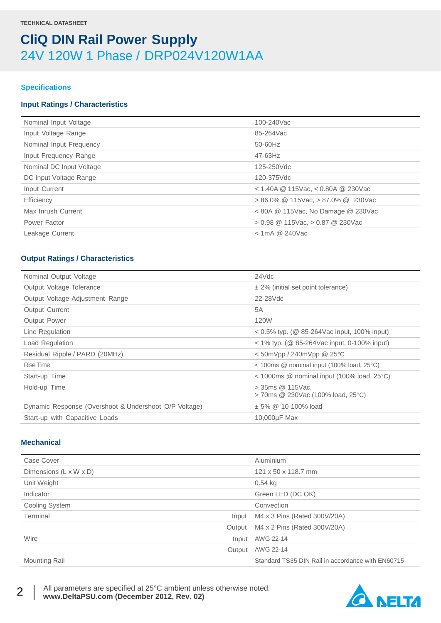#### **Specifications**

#### **Input Ratings / Characteristics**

| Nominal Input Voltage    | 100-240Vac                                 |
|--------------------------|--------------------------------------------|
| Input Voltage Range      | 85-264Vac                                  |
| Nominal Input Frequency  | 50-60Hz                                    |
| Input Frequency Range    | $47 - 63$ Hz                               |
| Nominal DC Input Voltage | 125-250Vdc                                 |
| DC Input Voltage Range   | 120-375Vdc                                 |
| Input Current            | $<$ 1.40A @ 115Vac, $<$ 0.80A @ 230Vac     |
| Efficiency               | $> 86.0\%$ @ 115Vac, $> 87.0\%$ @ 230Vac   |
| Max Inrush Current       | $< 80A \& 115$ Vac, No Damage $\& 230$ Vac |
| Power Factor             | $> 0.98 \ @$ 115Vac, $> 0.87 \ @$ 230Vac   |
| Leakage Current          | $<$ 1mA @ 240Vac                           |
|                          |                                            |

#### **Output Ratings / Characteristics**

| Nominal Output Voltage                                | 24Vdc                                                                        |
|-------------------------------------------------------|------------------------------------------------------------------------------|
| Output Voltage Tolerance                              | $\pm$ 2% (initial set point tolerance)                                       |
| Output Voltage Adjustment Range                       | 22-28Vdc                                                                     |
| Output Current                                        | 5A                                                                           |
| <b>Output Power</b>                                   | 120W                                                                         |
| Line Regulation                                       | $0.5\%$ typ. (@ 85-264Vac input, 100% input)                                 |
| Load Regulation                                       | $<$ 1% typ. (@ 85-264Vac input, 0-100% input)                                |
| Residual Ripple / PARD (20MHz)                        | $<$ 50mVpp / 240mVpp @ 25 $°C$                                               |
| Rise Time                                             | $<$ 100ms $\textcircled{2}$ nominal input (100% load, 25 $\textcircled{c}$ ) |
| Start-up Time                                         | $<$ 1000ms $\circledR$ nominal input (100% load, 25 $\circ$ C)               |
| Hold-up Time                                          | $>$ 35ms $@$ 115Vac.<br>> 70ms @ 230Vac (100% load, 25°C)                    |
| Dynamic Response (Overshoot & Undershoot O/P Voltage) | $\pm$ 5% @ 10-100% load                                                      |
| Start-up with Capacitive Loads                        | 10,000µF Max                                                                 |
|                                                       |                                                                              |

#### **Mechanical**

| Case Cover             | Aluminium                                         |
|------------------------|---------------------------------------------------|
| Dimensions (L x W x D) | 121 x 50 x 118.7 mm                               |
| Unit Weight            | $0.54$ kg                                         |
| Indicator              | Green LED (DC OK)                                 |
| Cooling System         | Convection                                        |
| Terminal<br>Input      | M4 x 3 Pins (Rated 300V/20A)                      |
| Output                 | M4 x 2 Pins (Rated 300V/20A)                      |
| Wire<br>Input          | AWG 22-14                                         |
| Output                 | AWG 22-14                                         |
| <b>Mounting Rail</b>   | Standard TS35 DIN Rail in accordance with EN60715 |



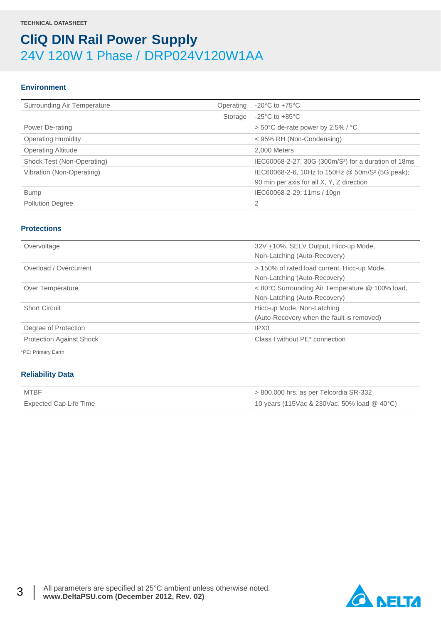#### **Environment**

| Surrounding Air Temperature<br>Operating | $-20^{\circ}$ C to $+75^{\circ}$ C                               |
|------------------------------------------|------------------------------------------------------------------|
| Storage                                  | $-25^{\circ}$ C to $+85^{\circ}$ C                               |
| Power De-rating                          | $> 50^{\circ}$ C de-rate power by 2.5% / $^{\circ}$ C            |
| <b>Operating Humidity</b>                | < 95% RH (Non-Condensing)                                        |
| <b>Operating Altitude</b>                | 2.000 Meters                                                     |
| Shock Test (Non-Operating)               | IEC60068-2-27, 30G (300m/S <sup>2</sup> ) for a duration of 18ms |
| Vibration (Non-Operating)                | IEC60068-2-6, 10Hz to 150Hz @ 50m/S <sup>2</sup> (5G peak);      |
|                                          | 90 min per axis for all X, Y, Z direction                        |
| <b>Bump</b>                              | IEC60068-2-29; 11ms / 10gn                                       |
| <b>Pollution Degree</b>                  | 2                                                                |
|                                          |                                                                  |

#### **Protections**

| Overvoltage                     | 32V +10%, SELV Output, Hicc-up Mode,<br>Non-Latching (Auto-Recovery)            |
|---------------------------------|---------------------------------------------------------------------------------|
| Overload / Overcurrent          | > 150% of rated load current, Hicc-up Mode,<br>Non-Latching (Auto-Recovery)     |
| Over Temperature                | < 80°C Surrounding Air Temperature @ 100% load,<br>Non-Latching (Auto-Recovery) |
| <b>Short Circuit</b>            | Hicc-up Mode, Non-Latching<br>(Auto-Recovery when the fault is removed)         |
| Degree of Protection            | IPX0                                                                            |
| <b>Protection Against Shock</b> | Class I without PE* connection                                                  |

\*PE: Primary Earth

#### **Reliability Data**

| <b>MTBF</b>            | $>$ 800,000 hrs. as per Telcordia SR-332      |
|------------------------|-----------------------------------------------|
| Expected Cap Life Time | 10 years (115Vac & 230Vac, 50% load $@$ 40°C) |

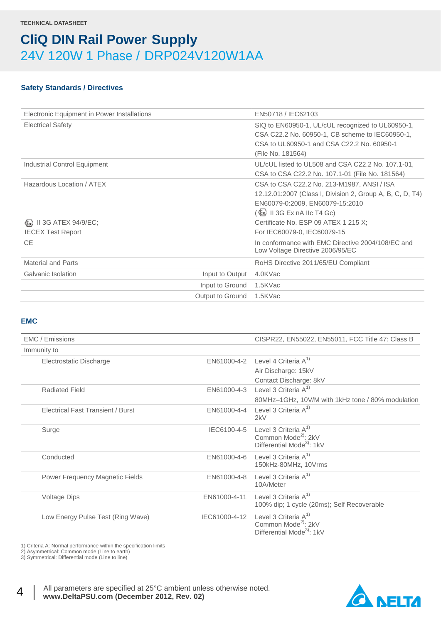#### **Safety Standards / Directives**

| Electronic Equipment in Power Installations          | EN50718 / IEC62103                                                                                                                                                         |
|------------------------------------------------------|----------------------------------------------------------------------------------------------------------------------------------------------------------------------------|
| <b>Electrical Safety</b>                             | SIQ to EN60950-1, UL/cUL recognized to UL60950-1,<br>CSA C22.2 No. 60950-1, CB scheme to IEC60950-1,<br>CSA to UL60950-1 and CSA C22.2 No. 60950-1<br>(File No. 181564)    |
| Industrial Control Equipment                         | UL/cUL listed to UL508 and CSA C22.2 No. 107.1-01.<br>CSA to CSA C22.2 No. 107.1-01 (File No. 181564)                                                                      |
| Hazardous Location / ATEX                            | CSA to CSA C22.2 No. 213-M1987, ANSI / ISA<br>12.12.01:2007 (Class I, Division 2, Group A, B, C, D, T4)<br>EN60079-0:2009, EN60079-15:2010<br>(\$x) II 3G Ex nA IIc T4 Gc) |
| (Ex) II 3G ATEX 94/9/EC;<br><b>IECEX Test Report</b> | Certificate No. ESP 09 ATEX 1 215 X;<br>For IEC60079-0, IEC60079-15                                                                                                        |
| CE.                                                  | In conformance with EMC Directive 2004/108/EC and<br>Low Voltage Directive 2006/95/EC                                                                                      |
| Material and Parts                                   | RoHS Directive 2011/65/EU Compliant                                                                                                                                        |
| Galvanic Isolation<br>Input to Output                | 4.0KVac                                                                                                                                                                    |
| Input to Ground                                      | 1.5KVac                                                                                                                                                                    |
| Output to Ground                                     | 1.5KVac                                                                                                                                                                    |

#### **EMC**

| EMC / Emissions                          |               | CISPR22, EN55022, EN55011, FCC Title 47: Class B                                                        |
|------------------------------------------|---------------|---------------------------------------------------------------------------------------------------------|
| Immunity to                              |               |                                                                                                         |
| Electrostatic Discharge                  | EN61000-4-2   | Level 4 Criteria $A^{1}$<br>Air Discharge: 15kV                                                         |
| <b>Radiated Field</b>                    | EN61000-4-3   | Contact Discharge: 8kV<br>Level 3 Criteria $A^{1}$<br>80MHz-1GHz, 10V/M with 1kHz tone / 80% modulation |
| <b>Electrical Fast Transient / Burst</b> | EN61000-4-4   | Level 3 Criteria $A^{1}$<br>2kV                                                                         |
| Surge                                    | IEC6100-4-5   | Level 3 Criteria $A^{1}$<br>Common Mode <sup>2)</sup> : 2kV<br>Differential Mode <sup>3</sup> : 1kV     |
| Conducted                                | EN61000-4-6   | Level 3 Criteria $A^{1}$<br>150kHz-80MHz, 10Vrms                                                        |
| Power Frequency Magnetic Fields          | EN61000-4-8   | Level 3 Criteria $A^{1}$<br>10A/Meter                                                                   |
| Voltage Dips                             | EN61000-4-11  | Level 3 Criteria $A^{1}$<br>100% dip; 1 cycle (20ms); Self Recoverable                                  |
| Low Energy Pulse Test (Ring Wave)        | IEC61000-4-12 | Level 3 Criteria $A^{1}$<br>Common Mode <sup>2)</sup> : 2kV<br>Differential Mode <sup>3</sup> : 1kV     |

1) Criteria A: Normal performance within the specification limits

2) Asymmetrical: Common mode (Line to earth)

3) Symmetrical: Differential mode (Line to line)



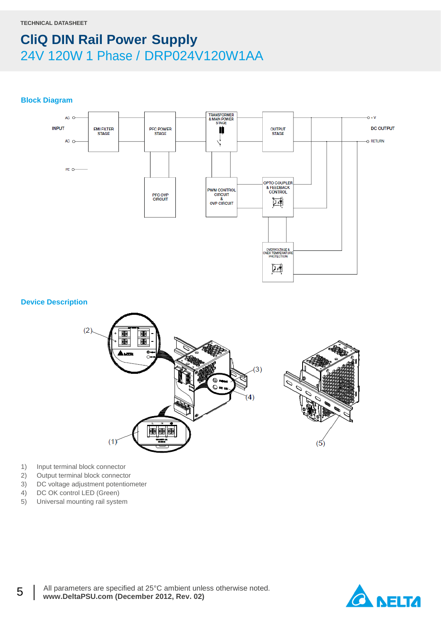**Block Diagram**



**Device Description**



- 1) Input terminal block connector
- 2) Output terminal block connector
- 3) DC voltage adjustment potentiometer
- 4) DC OK control LED (Green)

5

5) Universal mounting rail system

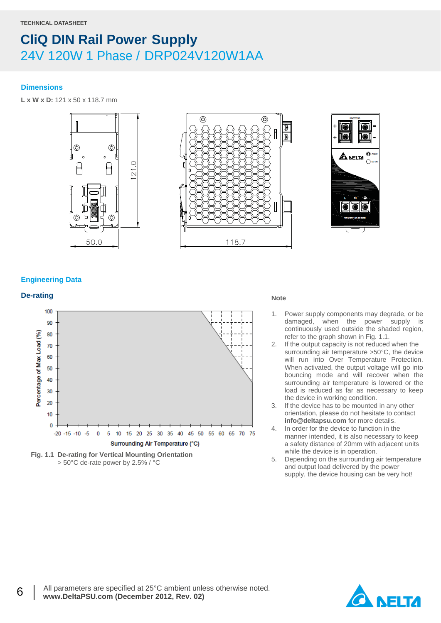#### **Dimensions**

**L x W x D:** 121 x 50 x 118.7 mm







#### **Engineering Data**

### **De-rating** Note

6



**Fig. 1.1 De-rating for Vertical Mounting Orientation** > 50°C de-rate power by 2.5% / °C

- 1. Power supply components may degrade, or be damaged, when the power supply is continuously used outside the shaded region, refer to the graph shown in Fig. 1.1.
- 2. If the output capacity is not reduced when the surrounding air temperature >50°C, the device will run into Over Temperature Protection. When activated, the output voltage will go into bouncing mode and will recover when the surrounding air temperature is lowered or the load is reduced as far as necessary to keep the device in working condition.
- 3. If the device has to be mounted in any other orientation, please do not hesitate to contact **info@deltapsu.com** for more details.
- 4. In order for the device to function in the manner intended, it is also necessary to keep a safety distance of 20mm with adjacent units while the device is in operation.
- 5. Depending on the surrounding air temperature and output load delivered by the power supply, the device housing can be very hot!

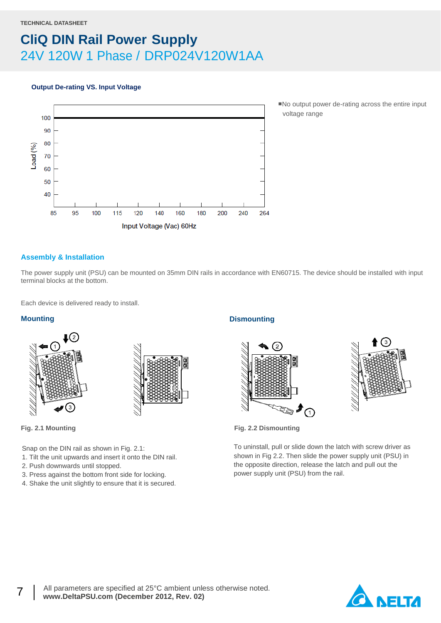#### **Output De-rating VS. Input Voltage**



■No output power de-rating across the entire input voltage range

#### **Assembly & Installation**

The power supply unit (PSU) can be mounted on 35mm DIN rails in accordance with EN60715. The device should be installed with input terminal blocks at the bottom.

Each device is delivered ready to install.

#### **Mounting**





7

Snap on the DIN rail as shown in Fig. 2.1:

- 1. Tilt the unit upwards and insert it onto the DIN rail.
- 2. Push downwards until stopped.
- 3. Press against the bottom front side for locking.
- 4. Shake the unit slightly to ensure that it is secured.

#### **Dismounting**





**Fig. 2.1 Mounting Fig. 2.2 Dismounting**

To uninstall, pull or slide down the latch with screw driver as shown in Fig 2.2. Then slide the power supply unit (PSU) in the opposite direction, release the latch and pull out the power supply unit (PSU) from the rail.

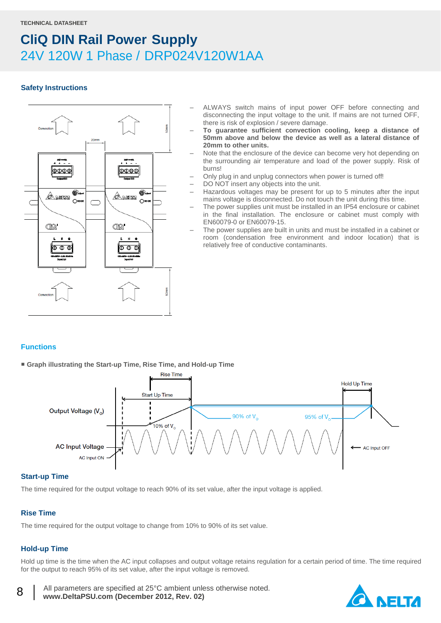#### **Safety Instructions**



- ALWAYS switch mains of input power OFF before connecting and disconnecting the input voltage to the unit. If mains are not turned OFF, there is risk of explosion / severe damage.
- **To guarantee sufficient convection cooling, keep a distance of 50mm above and below the device as well as a lateral distance of 20mm to other units.**
- Note that the enclosure of the device can become very hot depending on the surrounding air temperature and load of the power supply. Risk of burns!
- Only plug in and unplug connectors when power is turned off!
- DO NOT insert any objects into the unit.
- Hazardous voltages may be present for up to 5 minutes after the input mains voltage is disconnected. Do not touch the unit during this time.
- The power supplies unit must be installed in an IP54 enclosure or cabinet in the final installation. The enclosure or cabinet must comply with EN60079-0 or EN60079-15.
- The power supplies are built in units and must be installed in a cabinet or room (condensation free environment and indoor location) that is relatively free of conductive contaminants.

#### **Functions**

■ **Graph illustrating the Start-up Time, Rise Time, and Hold-up Time**



#### **Start-up Time**

The time required for the output voltage to reach 90% of its set value, after the input voltage is applied.

#### **Rise Time**

The time required for the output voltage to change from 10% to 90% of its set value.

### **Hold-up Time**

8

Hold up time is the time when the AC input collapses and output voltage retains regulation for a certain period of time. The time required for the output to reach 95% of its set value, after the input voltage is removed.

 All parameters are specified at 25°C ambient unless otherwise noted.  **www.DeltaPSU.com (December 2012, Rev. 02)**

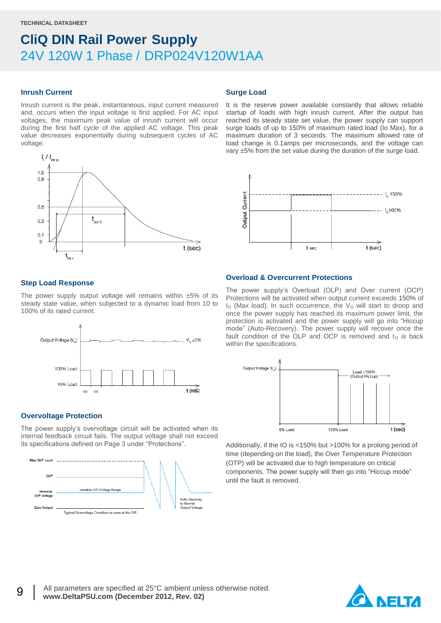#### **Inrush Current**

Inrush current is the peak, instantaneous, input current measured and, occurs when the input voltage is first applied. For AC input voltages, the maximum peak value of inrush current will occur during the first half cycle of the applied AC voltage. This peak value decreases exponentially during subsequent cycles of AC voltage.



#### **Surge Load**

It is the reserve power available constantly that allows reliable startup of loads with high inrush current. After the output has reached its steady state set value, the power supply can support surge loads of up to 150% of maximum rated load (Io Max), for a maximum duration of 3 seconds. The maximum allowed rate of load change is 0.1amps per microseconds, and the voltage can vary ±5% from the set value during the duration of the surge load.



#### **Step Load Response**

The power supply output voltage will remains within  $±5\%$  of its steady state value, when subjected to a dynamic load from 10 to 100% of its rated current.



#### **Overvoltage Protection**

The power supply's overvoltage circuit will be activated when its internal feedback circuit fails. The output voltage shall not exceed its specifications defined on Page 3 under "Protections".



#### **Overload & Overcurrent Protections**

The power supply's Overload (OLP) and Over current (OCP) Protections will be activated when output current exceeds 150% of  $I<sub>O</sub>$  (Max load). In such occurrence, the  $V<sub>O</sub>$  will start to droop and once the power supply has reached its maximum power limit, the protection is activated and the power supply will go into "Hiccup mode" (Auto-Recovery). The power supply will recover once the fault condition of the OLP and OCP is removed and  $I<sub>O</sub>$  is back within the specifications.



Additionally, if the IO is <150% but >100% for a prolong period of time (depending on the load), the Over Temperature Protection (OTP) will be activated due to high temperature on critical components. The power supply will then go into "Hiccup mode" until the fault is removed.

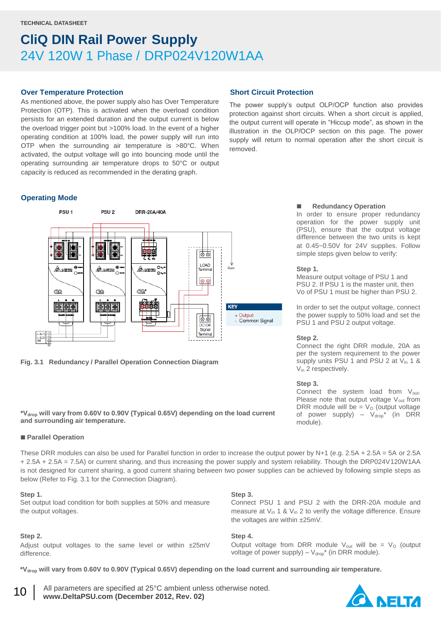#### **Over Temperature Protection**

As mentioned above, the power supply also has Over Temperature Protection (OTP). This is activated when the overload condition persists for an extended duration and the output current is below the overload trigger point but >100% load. In the event of a higher operating condition at 100% load, the power supply will run into OTP when the surrounding air temperature is >80°C. When activated, the output voltage will go into bouncing mode until the operating surrounding air temperature drops to 50°C or output capacity is reduced as recommended in the derating graph.

#### **Operating Mode**



**Fig. 3.1 Redundancy / Parallel Operation Connection Diagram**

**\*Vdrop will vary from 0.60V to 0.90V (Typical 0.65V) depending on the load current and surrounding air temperature.**

#### **Parallel Operation**

These DRR modules can also be used for Parallel function in order to increase the output power by N+1 (e.g. 2.5A + 2.5A = 5A or 2.5A + 2.5A + 2.5A = 7.5A) or current sharing, and thus increasing the power supply and system reliability. Though the DRP024V120W1AA is not designed for current sharing, a good current sharing between two power supplies can be achieved by following simple steps as below (Refer to Fig. 3.1 for the Connection Diagram).

#### **Step 1.**

Set output load condition for both supplies at 50% and measure the output voltages.

#### **Step 2.**

10

Adjust output voltages to the same level or within ±25mV difference.

#### **Short Circuit Protection**

The power supply's output OLP/OCP function also provides protection against short circuits. When a short circuit is applied, the output current will operate in "Hiccup mode", as shown in the illustration in the OLP/OCP section on this page. The power supply will return to normal operation after the short circuit is removed.

#### **Redundancy Operation**

In order to ensure proper redundancy operation for the power supply unit (PSU), ensure that the output voltage difference between the two units is kept at 0.45~0.50V for 24V supplies. Follow simple steps given below to verify:

#### **Step 1.**

Measure output voltage of PSU 1 and PSU 2. If PSU 1 is the master unit, then Vo of PSU 1 must be higher than PSU 2.

In order to set the output voltage, connect the power supply to 50% load and set the PSU 1 and PSU 2 output voltage.

#### **Step 2.**

Connect the right DRR module, 20A as per the system requirement to the power supply units PSU 1 and PSU 2 at  $V_{in}$  1 & V<sub>in</sub> 2 respectively.

#### **Step 3.**

Connect the system load from  $V_{\text{out}}$ . Please note that output voltage  $V_{out}$  from DRR module will be =  $V<sub>O</sub>$  (output voltage of power supply) –  $V_{drop}^*$  (in DRR module).

#### **Step 3.**

Connect PSU 1 and PSU 2 with the DRR-20A module and measure at  $V_{in}$  1 &  $V_{in}$  2 to verify the voltage difference. Ensure the voltages are within ±25mV.

#### **Step 4.**

Output voltage from DRR module  $V_{\text{out}}$  will be =  $V_{\text{O}}$  (output voltage of power supply) –  $V_{drop}^*$  (in DRR module).

**\*Vdrop will vary from 0.60V to 0.90V (Typical 0.65V) depending on the load current and surrounding air temperature.**

 All parameters are specified at 25°C ambient unless otherwise noted.  **www.DeltaPSU.com (December 2012, Rev. 02)**